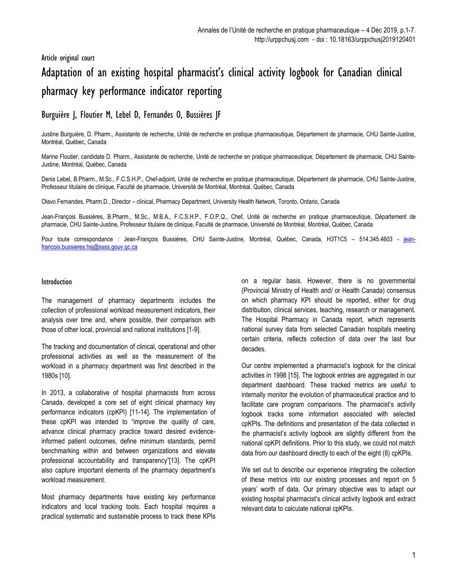# Article original court

# Adaptation of an existing hospital pharmacist's clinical activity logbook for Canadian clinical pharmacy key performance indicator reporting

Burguière J, Floutier M, Lebel D, Fernandes O, Bussières JF

Justine Burguière, D. Pharm., Assistante de recherche, Unité de recherche en pratique pharmaceutique, Département de pharmacie, CHU Sainte-Justine, Montréal, Québec, Canada

Marine Floutier, candidate D. Pharm., Assistante de recherche, Unité de recherche en pratique pharmaceutique, Département de pharmacie, CHU Sainte-Justine, Montréal, Québec, Canada

Denis Lebel, B.Pharm., M.Sc., F.C.S.H.P., Chef-adjoint, Unité de recherche en pratique pharmaceutique, Département de pharmacie, CHU Sainte-Justine, Professeur titulaire de clinique, Faculté de pharmacie, Université de Montréal, Montréal, Québec, Canada

Olavo Fernandes, Pharm.D., Director – clinical, Pharmacy Department, University Health Network, Toronto, Ontario, Canada

Jean-François Bussières, B.Pharm., M.Sc., M.B.A., F.C.S.H.P., F.O.P.Q., Chef, Unité de recherche en pratique pharmaceutique, Département de pharmacie, CHU Sainte-Justine, Professeur titulaire de clinique, Faculté de pharmacie, Université de Montréal, Montréal, Québec, Canada

Pour toute correspondance : Jean-François Bussières, CHU Sainte-Justine, Montréal, Québec, Canada, H3T1C5 – 514.345.4603 - [jean](mailto:jean-francois.bussieres.hsj@ssss.gouv.qc.ca)[francois.bussieres.hsj@ssss.gouv.qc.ca](mailto:jean-francois.bussieres.hsj@ssss.gouv.qc.ca)

#### Introduction

The management of pharmacy departments includes the collection of professional workload measurement indicators, their analysis over time and, where possible, their comparison with those of other local, provincial and national institutions [1-9].

The tracking and documentation of clinical, operational and other professional activities as well as the measurement of the workload in a pharmacy department was first described in the 1980s [10].

In 2013, a collaborative of hospital pharmacists from across Canada, developed a core set of eight clinical pharmacy key performance indicators (cpKPI) [11-14]. The implementation of these cpKPI was intended to "improve the quality of care, advance clinical pharmacy practice toward desired evidenceinformed patient outcomes, define minimum standards, permit benchmarking within and between organizations and elevate professional accountability and transparency"[13]. The cpKPI also capture important elements of the pharmacy department's workload measurement.

Most pharmacy departments have existing key performance indicators and local tracking tools. Each hospital requires a practical systematic and sustainable process to track these KPIs on a regular basis. However, there is no governmental (Provincial Ministry of Health and/ or Health Canada) consensus on which pharmacy KPI should be reported, either for drug distribution, clinical services, teaching, research or management. The Hospital Pharmacy in Canada report, which represents national survey data from selected Canadian hospitals meeting certain criteria, reflects collection of data over the last four decades.

Our centre implemented a pharmacist's logbook for the clinical activities in 1998 [15]. The logbook entries are aggregated in our department dashboard. These tracked metrics are useful to internally monitor the evolution of pharmaceutical practice and to facilitate care program comparisons. The pharmacist's activity logbook tracks some information associated with selected cpKPIs. The definitions and presentation of the data collected in the pharmacist's activity logbook are slightly different from the national cpKPI definitions. Prior to this study, we could not match data from our dashboard directly to each of the eight (8) cpKPIs.

We set out to describe our experience integrating the collection of these metrics into our existing processes and report on 5 years' worth of data. Our primary objective was to adapt our existing hospital pharmacist's clinical activity logbook and extract relevant data to calculate national cpKPIs.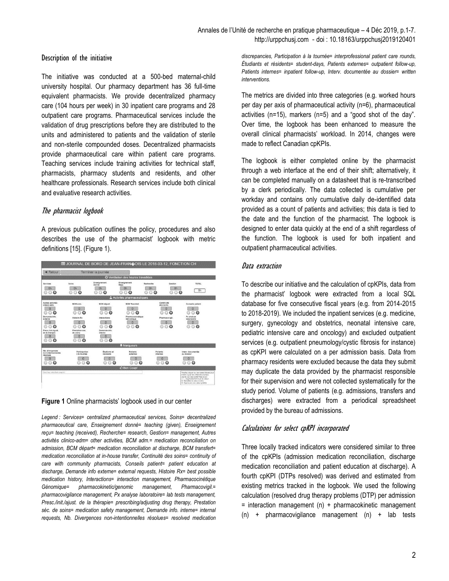# Description of the initiative

The initiative was conducted at a 500-bed maternal-child university hospital. Our pharmacy department has 36 full-time equivalent pharmacists. We provide decentralized pharmacy care (104 hours per week) in 30 inpatient care programs and 28 outpatient care programs. Pharmaceutical services include the validation of drug prescriptions before they are distributed to the units and administered to patients and the validation of sterile and non-sterile compounded doses. Decentralized pharmacists provide pharmaceutical care within patient care programs. Teaching services include training activities for technical staff, pharmacists, pharmacy students and residents, and other healthcare professionals. Research services include both clinical and evaluative research activities.

# The pharmacist logbook

A previous publication outlines the policy, procedures and also describes the use of the pharmacist' logbook with metric definitions [15]. (Figure 1).

| $\triangleleft$ Retour                  |                                | Terminer la journée       |                                      |                             |                                  |                                                                                                                                                                                                                                  |
|-----------------------------------------|--------------------------------|---------------------------|--------------------------------------|-----------------------------|----------------------------------|----------------------------------------------------------------------------------------------------------------------------------------------------------------------------------------------------------------------------------|
|                                         |                                |                           | O Ventilation des heures travaillées |                             |                                  |                                                                                                                                                                                                                                  |
| Services                                | Soins                          | Enseignement<br>Donné     | Enseignement<br>Recu                 | Recherche                   | Gestion                          | <b>TOTAL</b>                                                                                                                                                                                                                     |
| Oh<br>$\circ$<br>Θ<br>⊙                 | Oh<br>00<br>⊙                  | Oh<br>$\Omega$<br>Θ<br>G  | Oh<br>$\odot$<br>⋒<br>⊙              | <b>Ch</b><br>ු ල<br>⊙       | Oh<br>$\odot$<br>$\circ$<br>⊙    | Oh                                                                                                                                                                                                                               |
|                                         |                                |                           | A Activités pharmaceutiques          |                             |                                  |                                                                                                                                                                                                                                  |
| <b>Autres activités</b><br>clinico-adm. | <b>BCM adm.</b>                | <b>BCM</b> départ         | <b>BCM Transfert</b>                 | Continuité<br>des soins     |                                  | Conseils patient                                                                                                                                                                                                                 |
| O                                       | $\overline{0}$                 | 0                         | 0                                    |                             | $\Omega$                         | O                                                                                                                                                                                                                                |
| ⊚<br>Θ<br>Demande info.                 | 00<br>⊙                        | $\odot$<br>Θ              | ⊙<br>Θ<br>Pharmacocinétique          | ⊙                           | $\circ$<br>Θ                     | Θ<br>$\Omega$<br>53<br>Px analyse                                                                                                                                                                                                |
| externe<br>$\overline{0}$               | <b>Histoire Rx</b><br>$\Omega$ | <b>Interactions</b><br>o  | Génomique<br>$\Omega$                |                             | Pharmacovigil.<br>$\overline{0}$ | laboratoire<br>$\overline{0}$                                                                                                                                                                                                    |
| $\Omega$<br>⊙<br>Q                      | $\Omega$<br>Θ<br>⊙             | $\odot$                   | $\odot$<br>$\odot$<br>⊙              |                             | 000                              | 000                                                                                                                                                                                                                              |
| Presc./init/ajust.<br>de la thérapie    | Prestation sec.<br>de soins    | Demande info.<br>interne  |                                      |                             |                                  |                                                                                                                                                                                                                                  |
| $\overline{0}$                          | $\overline{0}$                 | $\overline{0}$            |                                      |                             |                                  |                                                                                                                                                                                                                                  |
| 00<br>⊕                                 | 00<br>⊙                        | 00<br>O                   |                                      |                             |                                  |                                                                                                                                                                                                                                  |
|                                         |                                |                           | <b>革 Marqueurs</b>                   |                             |                                  |                                                                                                                                                                                                                                  |
| Nb. divergences<br>non-intentionnelles  | Participation<br>à la tournée  | Étudiants et<br>résidents | Patients<br>externes                 | <b>Patients</b><br>internes |                                  | Interv. documentée<br>au dossier                                                                                                                                                                                                 |
| résolues<br>ō                           | O                              | $\Omega$                  | $\Omega$                             | $\Omega$                    |                                  | $\Omega$                                                                                                                                                                                                                         |
| 000                                     | 000                            | 000                       | 000                                  | $\circ$ $\circ$             |                                  | 000                                                                                                                                                                                                                              |
|                                         |                                |                           | <b>C Bon Coup!</b>                   |                             |                                  |                                                                                                                                                                                                                                  |
| Interivez votre bon coup ici            |                                |                           |                                      |                             |                                  | Veuillez cliquer sur les cases bleues pour<br>mettre à jour les différents champs.<br>Jaune: La case a été mise à jour.<br>+1 - Augmenter/diminuer la valeur<br>X: Remettre la valeur à piro.<br>C: Approuver une valeur prédite |

#### **Figure 1** Online pharmacists' logbook used in our center

*Legend : Services= centralized pharmaceutical services, Soins= decentralized pharmaceutical care, Enseignement donné= teaching (given), Enseignement reçu= teaching (received), Recherche= research, Gestion= management, Autres activités clinico-adm= other activities, BCM adm.= medication reconciliation on admission, BCM départ= medication reconciliation at discharge, BCM transfert= medication reconciliation at in-house transfer, Continuité des soins= continuity of care with community pharmacists, Conseils patient= patient education at discharge, Demande info externe= external requests, Histoire Rx= best possible medication history, Interactions= interaction management, Pharmacocinétique Génomique= pharmacokinetic/genomic management, Pharmacovigil.= pharmacovigilance management, Px analyse laboratoire= lab tests management, Presc./init./ajust. de la thérapie= prescribing/adjusting drug therapy, Prestation séc. de soins= medication safety management, Demande info. interne= internal requests, Nb. Divergences non-intentionnelles résolues= resolved medication* 

*discrepancies, Participation à la tournée= interprofessional patient care rounds, Étudiants et résidents= student-days, Patients externes= outpatient follow-up, Patients internes= inpatient follow-up, Interv. documentée au dossier= written interventions.* 

The metrics are divided into three categories (e.g. worked hours per day per axis of pharmaceutical activity (n=6), pharmaceutical activities (n=15), markers (n=5) and a "good shot of the day". Over time, the logbook has been enhanced to measure the overall clinical pharmacists' workload. In 2014, changes were made to reflect Canadian cpKPIs.

The logbook is either completed online by the pharmacist through a web interface at the end of their shift; alternatively, it can be completed manually on a datasheet that is re-transcribed by a clerk periodically. The data collected is cumulative per workday and contains only cumulative daily de-identified data provided as a count of patients and activities; this data is tied to the date and the function of the pharmacist. The logbook is designed to enter data quickly at the end of a shift regardless of the function. The logbook is used for both inpatient and outpatient pharmaceutical activities.

# Data extraction

To describe our initiative and the calculation of cpKPIs, data from the pharmacist' logbook were extracted from a local SQL database for five consecutive fiscal years (e.g. from 2014-2015 to 2018-2019). We included the inpatient services (e.g. medicine, surgery, gynecology and obstetrics, neonatal intensive care, pediatric intensive care and oncology) and excluded outpatient services (e.g. outpatient pneumology/cystic fibrosis for instance) as cpKPI were calculated on a per admission basis. Data from pharmacy residents were excluded because the data they submit may duplicate the data provided by the pharmacist responsible for their supervision and were not collected systematically for the study period. Volume of patients (e.g. admissions, transfers and discharges) were extracted from a periodical spreadsheet provided by the bureau of admissions.

# Calculations for select cpKPI incorporated

Three locally tracked indicators were considered similar to three of the cpKPIs (admission medication reconciliation, discharge medication reconciliation and patient education at discharge). A fourth cpKPI (DTPs resolved) was derived and estimated from existing metrics tracked in the logbook. We used the following calculation (resolved drug therapy problems (DTP) per admission  $=$  interaction management (n) + pharmacokinetic management  $(n)$  + pharmacovigilance management  $(n)$  + lab tests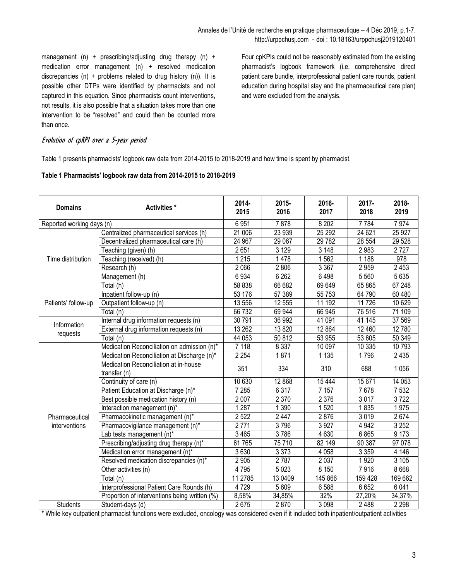management (n) + prescribing/adjusting drug therapy (n) + medication error management (n) + resolved medication discrepancies (n) + problems related to drug history (n)). It is possible other DTPs were identified by pharmacists and not captured in this equation. Since pharmacists count interventions, not results, it is also possible that a situation takes more than one intervention to be "resolved" and could then be counted more than once.

Four cpKPIs could not be reasonably estimated from the existing pharmacist's logbook framework (i.e. comprehensive direct patient care bundle, interprofessional patient care rounds, patient education during hospital stay and the pharmaceutical care plan) and were excluded from the analysis.

# Evolution of cpKPI over a 5-year period

Table 1 presents pharmacists' logbook raw data from 2014-2015 to 2018-2019 and how time is spent by pharmacist.

#### **Table 1 Pharmacists' logbook raw data from 2014-2015 to 2018-2019**

| <b>Domains</b>      | Activities *                                          | $2014 -$<br>2015 | $2015 -$<br>2016 | 2016-<br>2017                                                                                                                                                                                                                                                                            | $2017 -$<br>2018  | 2018-<br>2019 |
|---------------------|-------------------------------------------------------|------------------|------------------|------------------------------------------------------------------------------------------------------------------------------------------------------------------------------------------------------------------------------------------------------------------------------------------|-------------------|---------------|
|                     | Reported working days (n)                             |                  | 7878             | 8 2 0 2                                                                                                                                                                                                                                                                                  | $\frac{1}{7}$ 784 | 7974          |
|                     | Centralized pharmaceutical services (h)               | 21 006           | 23 939           | 25 29 2                                                                                                                                                                                                                                                                                  | 24 621            | 25 9 27       |
|                     | Decentralized pharmaceutical care (h)                 | 24 967           | 29 067           | 29 7 82<br>3148<br>1562<br>3 3 6 7<br>6498<br>69 649<br>55 7 53<br>11 192<br>66 945<br>41 091<br>12 8 64<br>53 955<br>10 097<br>1 1 3 5<br>310<br>15 4 44<br>7 1 5 7<br>2 3 7 6<br>1520<br>2876<br>3 9 27<br>4 6 30<br>82 149<br>4 0 5 8<br>2 0 3 7<br>8 1 5 0<br>145 866<br>6588<br>32% | 28 554            | 29 5 28       |
|                     | Teaching (given) (h)                                  | 2651             | 3 1 2 9          |                                                                                                                                                                                                                                                                                          | 2 9 8 3           | 2727          |
| Time distribution   | Teaching (received) (h)                               | 1 2 1 5          | 1478             |                                                                                                                                                                                                                                                                                          | 1 1 8 8           | 978           |
|                     | Research (h)                                          | 2 0 6 6          | 2806             |                                                                                                                                                                                                                                                                                          | 2959              | 2 4 5 3       |
|                     | Management (h)                                        | 6934             | 6 2 6 2          |                                                                                                                                                                                                                                                                                          | 5 5 6 0           | 5 6 3 5       |
|                     | Total (h)                                             | 58 838           | 66 682           | 688                                                                                                                                                                                                                                                                                      | 65 865            | 67248         |
|                     | Inpatient follow-up (n)                               | 53 176           | 57 389           |                                                                                                                                                                                                                                                                                          | 64 790            | 60 480        |
| Patients' follow-up | Outpatient follow-up (n)                              | 13 556           | 12 555           |                                                                                                                                                                                                                                                                                          | 11 726            | 10 629        |
|                     | Total (n)                                             | 66 732           | 69 944           |                                                                                                                                                                                                                                                                                          | 76 516            | 71 109        |
|                     | Internal drug information requests (n)                | 30 791           | 36 992           |                                                                                                                                                                                                                                                                                          | 41 145            | 37 569        |
| Information         | External drug information requests (n)                | 13 26 2          | 13 8 20          |                                                                                                                                                                                                                                                                                          | 12 460            | 12 780        |
| requests            | Total (n)                                             | 44 053           | 50 812           |                                                                                                                                                                                                                                                                                          | 53 605            | 50 349        |
|                     | Medication Reconciliation on admission (n)*           | 7 1 1 8          | 8 3 3 7          |                                                                                                                                                                                                                                                                                          | 10 335            | 10793         |
|                     | Medication Reconciliation at Discharge (n)*           | 2 2 5 4          | 1871             | 3 0 98                                                                                                                                                                                                                                                                                   | 1796              | 2 4 3 5       |
|                     | Medication Reconciliation at in-house<br>transfer (n) | 351              | 334              |                                                                                                                                                                                                                                                                                          |                   | 1 0 5 6       |
|                     | Continuity of care (n)                                | 10 630           | 12 868           |                                                                                                                                                                                                                                                                                          | 15 671            | 14 0 53       |
|                     | Patient Education at Discharge (n)*                   | 7 2 8 5          | 6 3 1 7          |                                                                                                                                                                                                                                                                                          | 7678              | 7 5 3 2       |
|                     | Best possible medication history (n)                  | 2 0 0 7          | 2 3 7 0          |                                                                                                                                                                                                                                                                                          | 3017              | 3722          |
|                     | Interaction management (n)*                           | 1287             | 1 3 9 0          |                                                                                                                                                                                                                                                                                          | 1835              | 1975          |
| Pharmaceutical      | Pharmacokinetic management (n)*                       | 2 5 22           | 2 4 4 7          |                                                                                                                                                                                                                                                                                          | 3019              | 2674          |
| interventions       | Pharmacovigilance management (n)*                     | 2771             | 3796             |                                                                                                                                                                                                                                                                                          | 4 9 4 2           | 3 2 5 2       |
|                     | Lab tests management (n)*                             | 3 4 6 5          | 3786             |                                                                                                                                                                                                                                                                                          | 6865              | 9 1 7 3       |
|                     | Prescribing/adjusting drug therapy (n)*               | 61765            | 75 710           |                                                                                                                                                                                                                                                                                          | 90 387            | 97 078        |
|                     | Medication error management (n)*                      | 3630             | 3 3 7 3          |                                                                                                                                                                                                                                                                                          | 3 3 5 9           | 4 1 4 6       |
|                     | Resolved medication discrepancies (n)*                | 2 9 0 5          | 2787             |                                                                                                                                                                                                                                                                                          | 1920              | 3 1 0 5       |
|                     | Other activities (n)                                  | 4795             | 5023             |                                                                                                                                                                                                                                                                                          | 7916              | 8 6 6 8       |
|                     | Total (n)                                             | 11 2785          | 13 04 09         |                                                                                                                                                                                                                                                                                          | 159 428           | 169 662       |
|                     | Interprofessional Patient Care Rounds (h)             | 4729             | 5 6 0 9          |                                                                                                                                                                                                                                                                                          | 6 6 5 2           | 6 0 4 1       |
|                     | Proportion of interventions being written (%)         | 8,58%            | 34,85%           |                                                                                                                                                                                                                                                                                          | 27,20%            | 34,37%        |
| <b>Students</b>     | Student-days (d)                                      | 2675             | 2870             |                                                                                                                                                                                                                                                                                          | 2 4 8 8           | 2 2 9 8       |

\* While key outpatient pharmacist functions were excluded, oncology was considered even if it included both inpatient/outpatient activities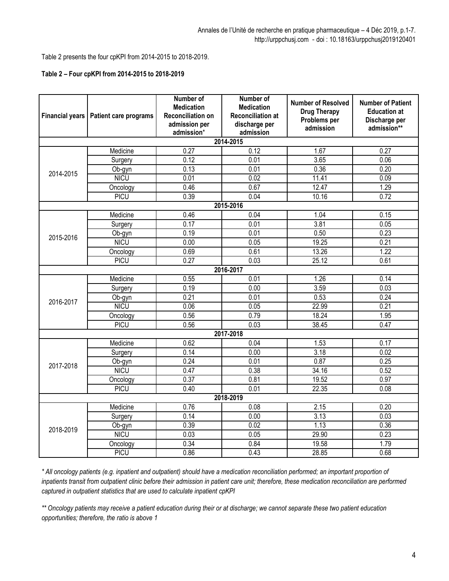Table 2 presents the four cpKPI from 2014-2015 to 2018-2019.

# **Table 2 – Four cpKPI from 2014-2015 to 2018-2019**

| <b>Financial years</b> | Patient care programs | Number of<br><b>Medication</b><br><b>Reconciliation on</b><br>admission per<br>admission* | <b>Number of</b><br><b>Medication</b><br><b>Reconciliation at</b><br>discharge per<br>admission | <b>Number of Resolved</b><br><b>Drug Therapy</b><br>Problems per<br>admission | <b>Number of Patient</b><br><b>Education at</b><br>Discharge per<br>admission** |  |  |  |
|------------------------|-----------------------|-------------------------------------------------------------------------------------------|-------------------------------------------------------------------------------------------------|-------------------------------------------------------------------------------|---------------------------------------------------------------------------------|--|--|--|
|                        |                       |                                                                                           | 2014-2015                                                                                       |                                                                               |                                                                                 |  |  |  |
| 2014-2015              | Medicine              | 0.27                                                                                      | 0.12                                                                                            | 1.67                                                                          | 0.27                                                                            |  |  |  |
|                        | Surgery               | 0.12                                                                                      | 0.01                                                                                            | 3.65                                                                          | 0.06                                                                            |  |  |  |
|                        | Ob-gyn                | 0.13                                                                                      | 0.01                                                                                            | 0.36                                                                          | $\overline{0.20}$                                                               |  |  |  |
|                        | <b>NICU</b>           | 0.01                                                                                      | 0.02                                                                                            | 11.41                                                                         | 0.09                                                                            |  |  |  |
|                        | Oncology              | 0.46                                                                                      | 0.67                                                                                            | 12.47                                                                         | 1.29                                                                            |  |  |  |
|                        | PICU                  | 0.39                                                                                      | 0.04                                                                                            | 10.16                                                                         | 0.72                                                                            |  |  |  |
|                        |                       |                                                                                           | 2015-2016                                                                                       |                                                                               |                                                                                 |  |  |  |
|                        | Medicine              | 0.46                                                                                      | 0.04                                                                                            | 1.04                                                                          | 0.15                                                                            |  |  |  |
|                        | Surgery               | 0.17                                                                                      | 0.01                                                                                            | 3.81                                                                          | 0.05                                                                            |  |  |  |
|                        | Ob-gyn                | 0.19                                                                                      | 0.01                                                                                            | 0.50                                                                          | 0.23                                                                            |  |  |  |
| 2015-2016              | <b>NICU</b>           | 0.00                                                                                      | 0.05                                                                                            | 19.25                                                                         | 0.21                                                                            |  |  |  |
|                        | Oncology              | 0.69                                                                                      | 0.61                                                                                            | 13.26                                                                         | 1.22                                                                            |  |  |  |
|                        | <b>PICU</b>           | $\overline{0.27}$                                                                         | 0.03                                                                                            | 25.12                                                                         | 0.61                                                                            |  |  |  |
|                        |                       |                                                                                           | 2016-2017                                                                                       |                                                                               |                                                                                 |  |  |  |
|                        | Medicine              | 0.55                                                                                      | 0.01                                                                                            | 1.26                                                                          | 0.14                                                                            |  |  |  |
|                        | Surgery               | 0.19                                                                                      | 0.00                                                                                            | 3.59                                                                          | 0.03                                                                            |  |  |  |
| 2016-2017              | Ob-gyn                | 0.21                                                                                      | 0.01                                                                                            | 0.53                                                                          | 0.24                                                                            |  |  |  |
|                        | <b>NICU</b>           | 0.06                                                                                      | 0.05                                                                                            | 22.99                                                                         | 0.21                                                                            |  |  |  |
|                        | Oncology              | 0.56                                                                                      | 0.79                                                                                            | 18.24                                                                         | 1.95                                                                            |  |  |  |
|                        | <b>PICU</b>           | 0.56                                                                                      | 0.03                                                                                            | 38.45                                                                         | 0.47                                                                            |  |  |  |
| 2017-2018              |                       |                                                                                           |                                                                                                 |                                                                               |                                                                                 |  |  |  |
|                        | Medicine              | 0.62                                                                                      | 0.04                                                                                            | 1.53                                                                          | 0.17                                                                            |  |  |  |
|                        | Surgery               | 0.14                                                                                      | 0.00                                                                                            | 3.18                                                                          | 0.02                                                                            |  |  |  |
| 2017-2018              | Ob-gyn                | 0.24                                                                                      | 0.01                                                                                            | 0.87                                                                          | 0.25                                                                            |  |  |  |
|                        | <b>NICU</b>           | 0.47                                                                                      | 0.38                                                                                            | 34.16                                                                         | 0.52                                                                            |  |  |  |
|                        | Oncology              | 0.37                                                                                      | 0.81                                                                                            | 19.52                                                                         | 0.97                                                                            |  |  |  |
|                        | <b>PICU</b>           | 0.40                                                                                      | 0.01                                                                                            | 22.35                                                                         | 0.08                                                                            |  |  |  |
| 2018-2019              |                       |                                                                                           |                                                                                                 |                                                                               |                                                                                 |  |  |  |
| 2018-2019              | Medicine              | 0.76                                                                                      | 0.08                                                                                            | 2.15                                                                          | 0.20                                                                            |  |  |  |
|                        | Surgery               | 0.14                                                                                      | 0.00                                                                                            | 3.13                                                                          | 0.03                                                                            |  |  |  |
|                        | Ob-gyn                | 0.39                                                                                      | 0.02                                                                                            | 1.13                                                                          | 0.36                                                                            |  |  |  |
|                        | <b>NICU</b>           | 0.03                                                                                      | 0.05                                                                                            | 29.90                                                                         | 0.23                                                                            |  |  |  |
|                        | Oncology              | 0.34                                                                                      | 0.84                                                                                            | 19.58                                                                         | 1.79                                                                            |  |  |  |
|                        | <b>PICU</b>           | 0.86                                                                                      | 0.43                                                                                            | 28.85                                                                         | 0.68                                                                            |  |  |  |

*\* All oncology patients (e.g. inpatient and outpatient) should have a medication reconciliation performed; an important proportion of inpatients transit from outpatient clinic before their admission in patient care unit; therefore, these medication reconciliation are performed captured in outpatient statistics that are used to calculate inpatient cpKPI*

*\*\* Oncology patients may receive a patient education during their or at discharge; we cannot separate these two patient education opportunities; therefore, the ratio is above 1*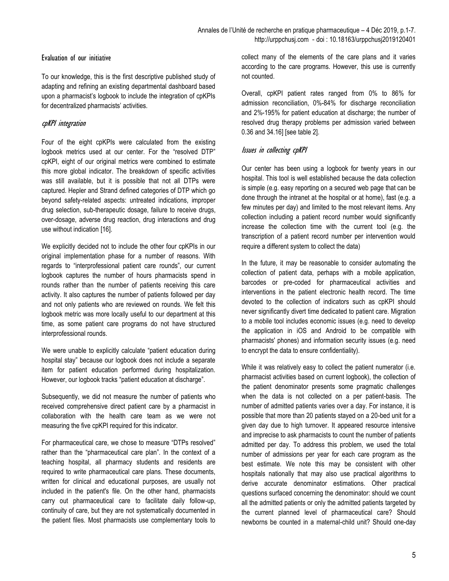# Evaluation of our initiative

To our knowledge, this is the first descriptive published study of adapting and refining an existing departmental dashboard based upon a pharmacist's logbook to include the integration of cpKPIs for decentralized pharmacists' activities.

# cpKPI integration

Four of the eight cpKPIs were calculated from the existing logbook metrics used at our center. For the "resolved DTP" cpKPI, eight of our original metrics were combined to estimate this more global indicator. The breakdown of specific activities was still available, but it is possible that not all DTPs were captured. Hepler and Strand defined categories of DTP which go beyond safety-related aspects: untreated indications, improper drug selection, sub-therapeutic dosage, failure to receive drugs, over-dosage, adverse drug reaction, drug interactions and drug use without indication [16].

We explicitly decided not to include the other four cpKPIs in our original implementation phase for a number of reasons. With regards to "interprofessional patient care rounds", our current logbook captures the number of hours pharmacists spend in rounds rather than the number of patients receiving this care activity. It also captures the number of patients followed per day and not only patients who are reviewed on rounds. We felt this logbook metric was more locally useful to our department at this time, as some patient care programs do not have structured interprofessional rounds.

We were unable to explicitly calculate "patient education during hospital stay" because our logbook does not include a separate item for patient education performed during hospitalization. However, our logbook tracks "patient education at discharge".

Subsequently, we did not measure the number of patients who received comprehensive direct patient care by a pharmacist in collaboration with the health care team as we were not measuring the five cpKPI required for this indicator.

For pharmaceutical care, we chose to measure "DTPs resolved" rather than the "pharmaceutical care plan". In the context of a teaching hospital, all pharmacy students and residents are required to write pharmaceutical care plans. These documents, written for clinical and educational purposes, are usually not included in the patient's file. On the other hand, pharmacists carry out pharmaceutical care to facilitate daily follow-up, continuity of care, but they are not systematically documented in the patient files. Most pharmacists use complementary tools to

collect many of the elements of the care plans and it varies according to the care programs. However, this use is currently not counted.

Overall, cpKPI patient rates ranged from 0% to 86% for admission reconciliation, 0%-84% for discharge reconciliation and 2%-195% for patient education at discharge; the number of resolved drug therapy problems per admission varied between 0.36 and 34.16] [see table 2].

# Issues in collecting cpKPI

Our center has been using a logbook for twenty years in our hospital. This tool is well established because the data collection is simple (e.g. easy reporting on a secured web page that can be done through the intranet at the hospital or at home), fast (e.g. a few minutes per day) and limited to the most relevant items. Any collection including a patient record number would significantly increase the collection time with the current tool (e.g. the transcription of a patient record number per intervention would require a different system to collect the data)

In the future, it may be reasonable to consider automating the collection of patient data, perhaps with a mobile application, barcodes or pre-coded for pharmaceutical activities and interventions in the patient electronic health record. The time devoted to the collection of indicators such as cpKPI should never significantly divert time dedicated to patient care. Migration to a mobile tool includes economic issues (e.g. need to develop the application in iOS and Android to be compatible with pharmacists' phones) and information security issues (e.g. need to encrypt the data to ensure confidentiality).

While it was relatively easy to collect the patient numerator (i.e. pharmacist activities based on current logbook), the collection of the patient denominator presents some pragmatic challenges when the data is not collected on a per patient-basis. The number of admitted patients varies over a day. For instance, it is possible that more than 20 patients stayed on a 20-bed unit for a given day due to high turnover. It appeared resource intensive and imprecise to ask pharmacists to count the number of patients admitted per day. To address this problem, we used the total number of admissions per year for each care program as the best estimate. We note this may be consistent with other hospitals nationally that may also use practical algorithms to derive accurate denominator estimations. Other practical questions surfaced concerning the denominator: should we count all the admitted patients or only the admitted patients targeted by the current planned level of pharmaceutical care? Should newborns be counted in a maternal-child unit? Should one-day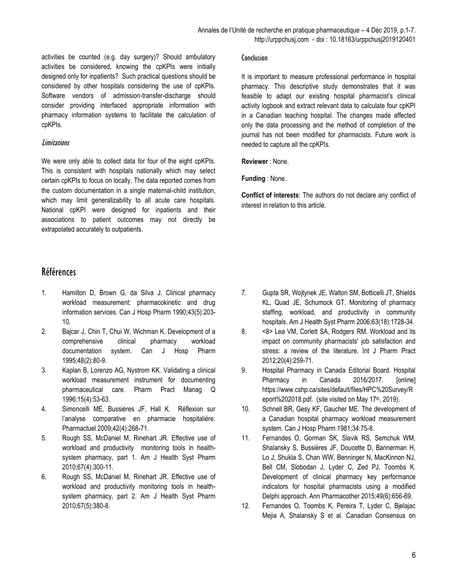activities be counted (e.g. day surgery)? Should ambulatory activities be considered, knowing the cpKPIs were initially designed only for inpatients? Such practical questions should be considered by other hospitals considering the use of cpKPIs. Software vendors of admission-transfer-discharge should consider providing interfaced appropriate information with pharmacy information systems to facilitate the calculation of cpKPIs.

# **Limitations**

We were only able to collect data for four of the eight cpKPIs. This is consistent with hospitals nationally which may select certain cpKPIs to focus on locally. The data reported comes from the custom documentation in a single maternal-child institution, which may limit generalizability to all acute care hospitals. National cpKPI were designed for inpatients and their associations to patient outcomes may not directly be extrapolated accurately to outpatients.

# Références

- 1. Hamilton D, Brown G, da Silva J. Clinical pharmacy workload measurement: pharmacokinetic and drug information services. Can J Hosp Pharm 1990;43(5):203- 10.
- 2. Bajcar J, Chin T, Chui W, Wichman K. Development of a comprehensive clinical pharmacy workload documentation system. Can J Hosp Pharm 1995;48(2):80-9.
- 3. Kaplan B, Lorenzo AG, Nystrom KK. Validating a clinical workload measurement instrument for documenting pharmaceutical care. Pharm Pract Manag Q 1996;15(4):53-63.
- 4. Simoncelli ME, Bussières JF, Hall K. Réflexion sur l'analyse comparative en pharmacie hospitalière. Pharmactuel 2009;42(4):268-71.
- 5. Rough SS, McDaniel M, Rinehart JR. Effective use of workload and productivity monitoring tools in healthsystem pharmacy, part 1. Am J Health Syst Pharm 2010;67(4):300-11.
- 6. Rough SS, McDaniel M, Rinehart JR. Effective use of workload and productivity monitoring tools in healthsystem pharmacy, part 2. Am J Health Syst Pharm 2010;67(5):380-8.

#### **Conclusion**

It is important to measure professional performance in hospital pharmacy. This descriptive study demonstrates that it was feasible to adapt our existing hospital pharmacist's clinical activity logbook and extract relevant data to calculate four cpKPI in a Canadian teaching hospital. The changes made affected only the data processing and the method of completion of the journal has not been modified for pharmacists. Future work is needed to capture all the cpKPIs.

**Reviewer** : None.

**Funding** : None.

**Conflict of interests**: The authors do not declare any conflict of interest in relation to this article.

- 7. Gupta SR, Wojtynek JE, Walton SM, Botticelli JT, Shields KL, Quad JE, Schumock GT. Monitoring of pharmacy staffing, workload, and productivity in community hospitals. Am J Health Syst Pharm 2006;63(18):1728-34.
- 8. <8> Lea VM, Corlett SA, Rodgers RM. Workload and its impact on community pharmacists' job satisfaction and stress: a review of the literature. Int J Pharm Pract 2012;20(4):259-71.
- 9. Hospital Pharmacy in Canada Editorial Board. Hospital Pharmacy in Canada 2016/2017. [online] [https://www.cshp.ca/sites/default/files/HPC%20Survey/R](https://www.cshp.ca/sites/default/files/HPC%20Survey/Report%202018.pdf) [eport%202018.pdf.](https://www.cshp.ca/sites/default/files/HPC%20Survey/Report%202018.pdf) (site visited on May 17<sup>th</sup>, 2019).
- 10. Schnell BR, Gesy KF, Gaucher ME. The development of a Canadian hospital pharmacy workload measurement system. Can J Hosp Pharm 1981;34:75-8.
- 11. Fernandes O, Gorman SK, Slavik RS, Semchuk WM, Shalansky S, Bussières JF, Doucette D, Bannerman H, Lo J, Shukla S, Chan WW, Benninger N, MacKinnon NJ, Bell CM, Slobodan J, Lyder C, Zed PJ, Toombs K. Development of clinical pharmacy key performance indicators for hospital pharmacists using a modified Delphi approach. Ann Pharmacother 2015;49(6):656-69.
- 12. Fernandes O, Toombs K, Pereira T, Lyder C, Bjelajac Mejia A, Shalansky S et al. Canadian Consensus on